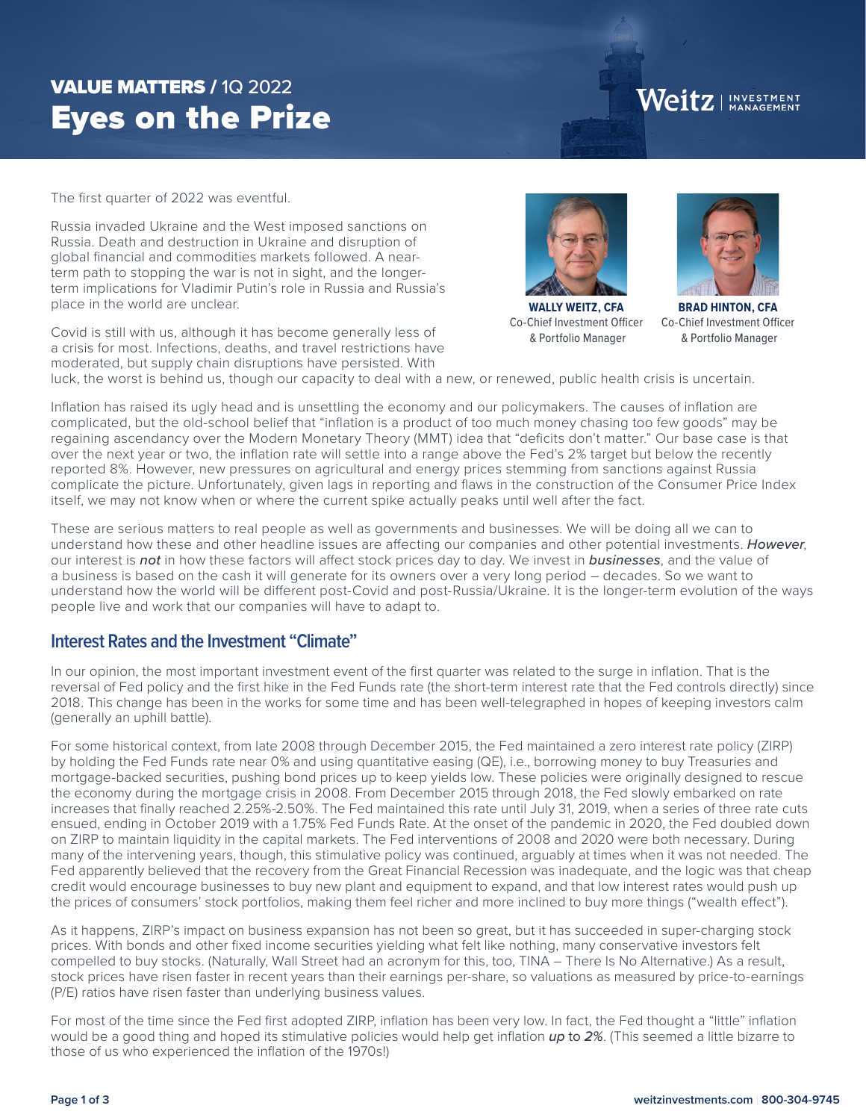# Eyes on the Prize VALUE MATTERS / 1Q 2022

Weitz | INVESTMENT

The first quarter of 2022 was eventful.

Russia invaded Ukraine and the West imposed sanctions on Russia. Death and destruction in Ukraine and disruption of global financial and commodities markets followed. A nearterm path to stopping the war is not in sight, and the longerterm implications for Vladimir Putin's role in Russia and Russia's place in the world are unclear.

Covid is still with us, although it has become generally less of a crisis for most. Infections, deaths, and travel restrictions have moderated, but supply chain disruptions have persisted. With



**WALLY WEITZ, CFA** Co-Chief Investment Officer & Portfolio Manager



**BRAD HINTON, CFA** Co-Chief Investment Officer & Portfolio Manager

luck, the worst is behind us, though our capacity to deal with a new, or renewed, public health crisis is uncertain.

Inflation has raised its ugly head and is unsettling the economy and our policymakers. The causes of inflation are complicated, but the old-school belief that "inflation is a product of too much money chasing too few goods" may be regaining ascendancy over the Modern Monetary Theory (MMT) idea that "deficits don't matter." Our base case is that over the next year or two, the inflation rate will settle into a range above the Fed's 2% target but below the recently reported 8%. However, new pressures on agricultural and energy prices stemming from sanctions against Russia complicate the picture. Unfortunately, given lags in reporting and flaws in the construction of the Consumer Price Index itself, we may not know when or where the current spike actually peaks until well after the fact.

These are serious matters to real people as well as governments and businesses. We will be doing all we can to understand how these and other headline issues are affecting our companies and other potential investments. *However*, our interest is *not* in how these factors will affect stock prices day to day. We invest in *businesses*, and the value of a business is based on the cash it will generate for its owners over a very long period – decades. So we want to understand how the world will be different post-Covid and post-Russia/Ukraine. It is the longer-term evolution of the ways people live and work that our companies will have to adapt to.

### **Interest Rates and the Investment "Climate"**

In our opinion, the most important investment event of the first quarter was related to the surge in inflation. That is the reversal of Fed policy and the first hike in the Fed Funds rate (the short-term interest rate that the Fed controls directly) since 2018. This change has been in the works for some time and has been well-telegraphed in hopes of keeping investors calm (generally an uphill battle).

For some historical context, from late 2008 through December 2015, the Fed maintained a zero interest rate policy (ZIRP) by holding the Fed Funds rate near 0% and using quantitative easing (QE), i.e., borrowing money to buy Treasuries and mortgage-backed securities, pushing bond prices up to keep yields low. These policies were originally designed to rescue the economy during the mortgage crisis in 2008. From December 2015 through 2018, the Fed slowly embarked on rate increases that finally reached 2.25%-2.50%. The Fed maintained this rate until July 31, 2019, when a series of three rate cuts ensued, ending in October 2019 with a 1.75% Fed Funds Rate. At the onset of the pandemic in 2020, the Fed doubled down on ZIRP to maintain liquidity in the capital markets. The Fed interventions of 2008 and 2020 were both necessary. During many of the intervening years, though, this stimulative policy was continued, arguably at times when it was not needed. The Fed apparently believed that the recovery from the Great Financial Recession was inadequate, and the logic was that cheap credit would encourage businesses to buy new plant and equipment to expand, and that low interest rates would push up the prices of consumers' stock portfolios, making them feel richer and more inclined to buy more things ("wealth effect").

As it happens, ZIRP's impact on business expansion has not been so great, but it has succeeded in super-charging stock prices. With bonds and other fixed income securities yielding what felt like nothing, many conservative investors felt compelled to buy stocks. (Naturally, Wall Street had an acronym for this, too, TINA – There Is No Alternative.) As a result, stock prices have risen faster in recent years than their earnings per-share, so valuations as measured by price-to-earnings (P/E) ratios have risen faster than underlying business values.

For most of the time since the Fed first adopted ZIRP, inflation has been very low. In fact, the Fed thought a "little" inflation would be a good thing and hoped its stimulative policies would help get inflation *up* to *2%*. (This seemed a little bizarre to those of us who experienced the inflation of the 1970s!)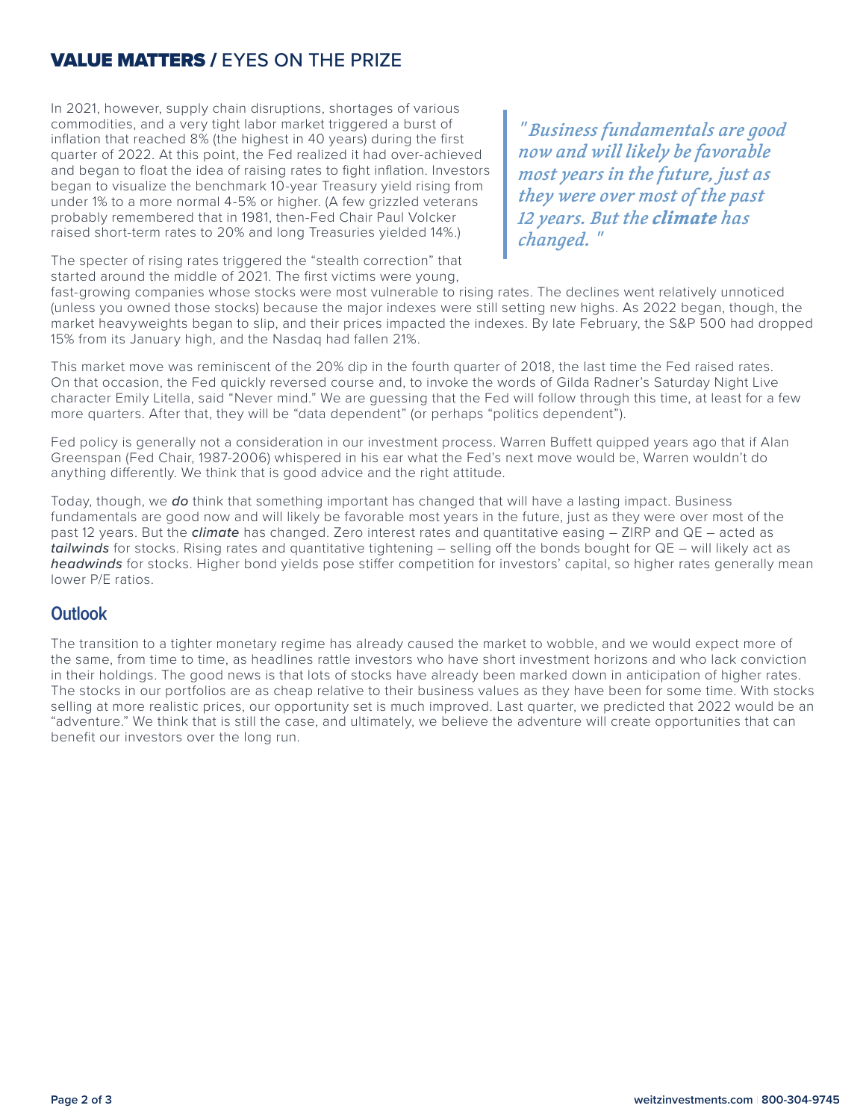## VALUE MATTERS / EYES ON THE PRIZE

In 2021, however, supply chain disruptions, shortages of various commodities, and a very tight labor market triggered a burst of inflation that reached 8% (the highest in 40 years) during the first quarter of 2022. At this point, the Fed realized it had over-achieved and began to float the idea of raising rates to fight inflation. Investors began to visualize the benchmark 10-year Treasury yield rising from under 1% to a more normal 4-5% or higher. (A few grizzled veterans probably remembered that in 1981, then-Fed Chair Paul Volcker raised short-term rates to 20% and long Treasuries yielded 14%.)

*" Business fundamentals are good now and will likely be favorable most years in the future, just as they were over most of the past 12 years. But the climate has changed. "*

The specter of rising rates triggered the "stealth correction" that started around the middle of 2021. The first victims were young,

fast-growing companies whose stocks were most vulnerable to rising rates. The declines went relatively unnoticed (unless you owned those stocks) because the major indexes were still setting new highs. As 2022 began, though, the market heavyweights began to slip, and their prices impacted the indexes. By late February, the S&P 500 had dropped 15% from its January high, and the Nasdaq had fallen 21%.

This market move was reminiscent of the 20% dip in the fourth quarter of 2018, the last time the Fed raised rates. On that occasion, the Fed quickly reversed course and, to invoke the words of Gilda Radner's Saturday Night Live character Emily Litella, said "Never mind." We are guessing that the Fed will follow through this time, at least for a few more quarters. After that, they will be "data dependent" (or perhaps "politics dependent").

Fed policy is generally not a consideration in our investment process. Warren Buffett quipped years ago that if Alan Greenspan (Fed Chair, 1987-2006) whispered in his ear what the Fed's next move would be, Warren wouldn't do anything differently. We think that is good advice and the right attitude.

Today, though, we *do* think that something important has changed that will have a lasting impact. Business fundamentals are good now and will likely be favorable most years in the future, just as they were over most of the past 12 years. But the *climate* has changed. Zero interest rates and quantitative easing – ZIRP and QE – acted as *tailwinds* for stocks. Rising rates and quantitative tightening – selling off the bonds bought for QE – will likely act as *headwinds* for stocks. Higher bond yields pose stiffer competition for investors' capital, so higher rates generally mean lower P/E ratios.

### **Outlook**

The transition to a tighter monetary regime has already caused the market to wobble, and we would expect more of the same, from time to time, as headlines rattle investors who have short investment horizons and who lack conviction in their holdings. The good news is that lots of stocks have already been marked down in anticipation of higher rates. The stocks in our portfolios are as cheap relative to their business values as they have been for some time. With stocks selling at more realistic prices, our opportunity set is much improved. Last quarter, we predicted that 2022 would be an "adventure." We think that is still the case, and ultimately, we believe the adventure will create opportunities that can benefit our investors over the long run.